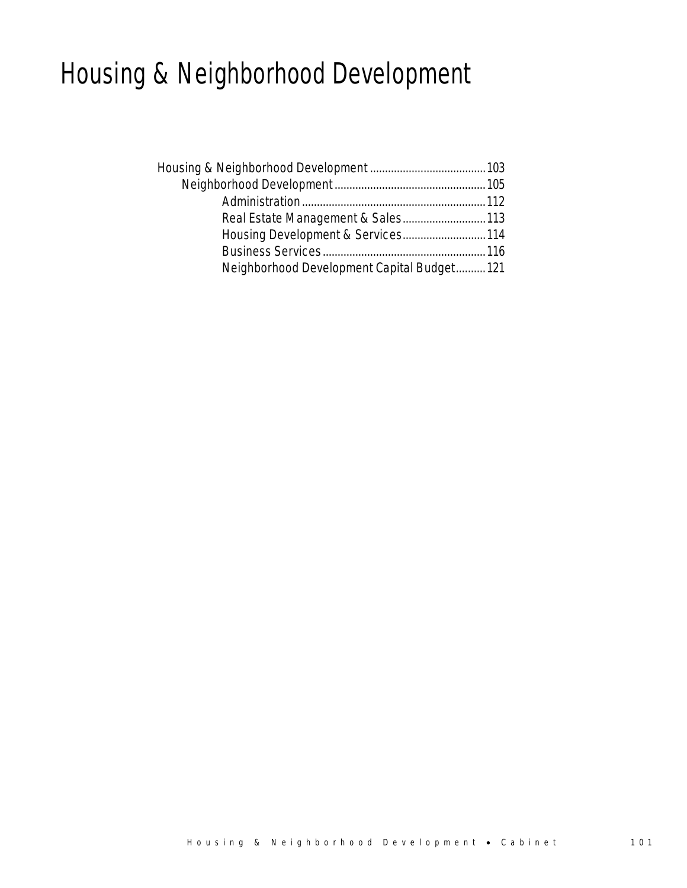# Housing & Neighborhood Development

| Housing Development & Services 114         |  |
|--------------------------------------------|--|
|                                            |  |
| Neighborhood Development Capital Budget121 |  |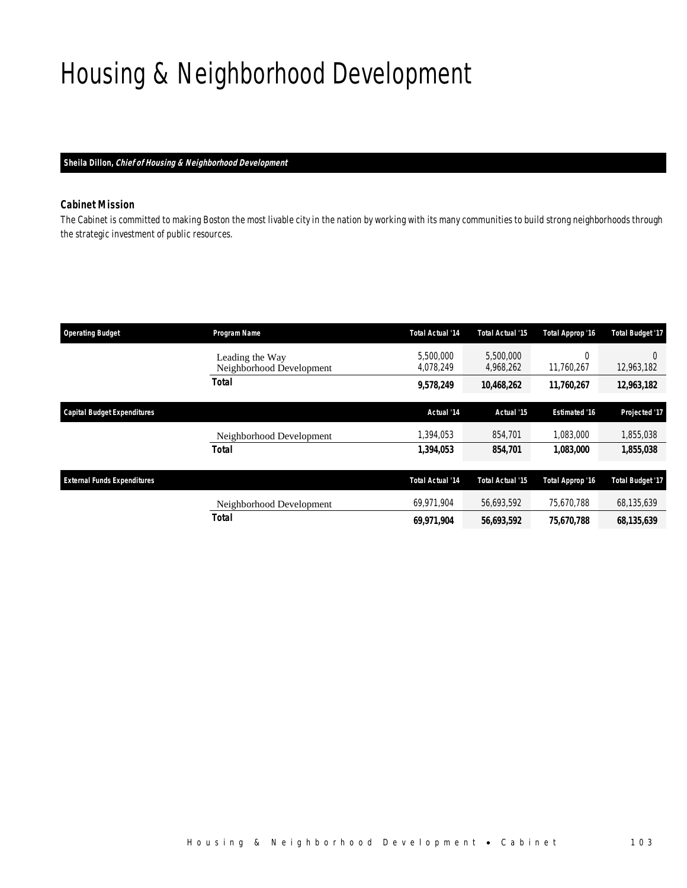# Housing & Neighborhood Development

### *Sheila Dillon, Chief of Housing & Neighborhood Development*

## *Cabinet Mission*

The Cabinet is committed to making Boston the most livable city in the nation by working with its many communities to build strong neighborhoods through the strategic investment of public resources.

| <b>Operating Budget</b>            | Program Name                                | <b>Total Actual '14</b> | <b>Total Actual '15</b> | Total Approp '16       | <b>Total Budget '17</b> |
|------------------------------------|---------------------------------------------|-------------------------|-------------------------|------------------------|-------------------------|
|                                    | Leading the Way<br>Neighborhood Development | 5,500,000<br>4,078,249  | 5,500,000<br>4,968,262  | $\Omega$<br>11,760,267 | 0<br>12,963,182         |
|                                    | Total                                       | 9,578,249               | 10,468,262              | 11,760,267             | 12,963,182              |
| <b>Capital Budget Expenditures</b> |                                             | Actual '14              | Actual '15              | <b>Estimated '16</b>   | Projected '17           |
|                                    | Neighborhood Development                    | 1,394,053               | 854,701                 | 1.083.000              | 1,855,038               |
|                                    | <b>Total</b>                                | 1,394,053               | 854,701                 | 1,083,000              | 1,855,038               |
| <b>External Funds Expenditures</b> |                                             | Total Actual '14        | <b>Total Actual '15</b> | Total Approp '16       | <b>Total Budget '17</b> |
|                                    | Neighborhood Development                    | 69.971.904              | 56,693,592              | 75.670.788             | 68,135,639              |
|                                    | <b>Total</b>                                | 69,971,904              | 56,693,592              | 75,670,788             | 68,135,639              |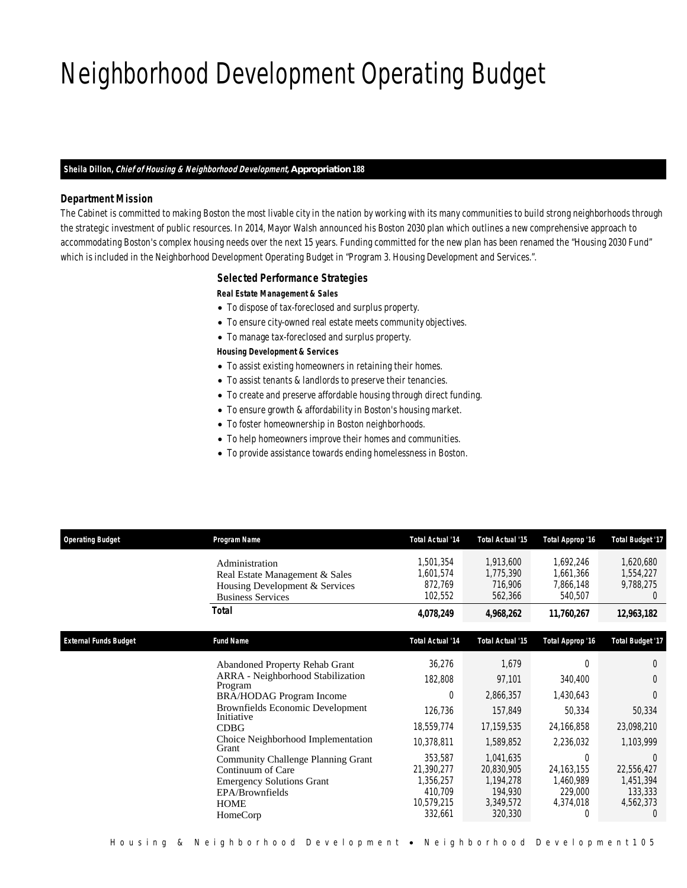# Neighborhood Development Operating Budget

### *Sheila Dillon, Chief of Housing & Neighborhood Development, Appropriation 188*

## *Department Mission*

The Cabinet is committed to making Boston the most livable city in the nation by working with its many communities to build strong neighborhoods through the strategic investment of public resources. In 2014, Mayor Walsh announced his Boston 2030 plan which outlines a new comprehensive approach to accommodating Boston's complex housing needs over the next 15 years. Funding committed for the new plan has been renamed the "Housing 2030 Fund" which is included in the Neighborhood Development Operating Budget in "Program 3. Housing Development and Services.".

### *Selected Performance Strategies*

*Real Estate Management & Sales* 

- To dispose of tax-foreclosed and surplus property.
- To ensure city-owned real estate meets community objectives.
- To manage tax-foreclosed and surplus property.

### *Housing Development & Services*

- To assist existing homeowners in retaining their homes.
- To assist tenants & landlords to preserve their tenancies.
- To create and preserve affordable housing through direct funding.
- To ensure growth & affordability in Boston's housing market.
- To foster homeownership in Boston neighborhoods.
- To help homeowners improve their homes and communities.
- To provide assistance towards ending homelessness in Boston.

| <b>Operating Budget</b>      | Program Name                                                                                                                                                                                                                                                                                                                                                                                        | <b>Total Actual '14</b>                                                                                                                 | <b>Total Actual '15</b>                                                                                                                       | Total Approp '16                                                                                                              | <b>Total Budget '17</b>                                                                                                                   |
|------------------------------|-----------------------------------------------------------------------------------------------------------------------------------------------------------------------------------------------------------------------------------------------------------------------------------------------------------------------------------------------------------------------------------------------------|-----------------------------------------------------------------------------------------------------------------------------------------|-----------------------------------------------------------------------------------------------------------------------------------------------|-------------------------------------------------------------------------------------------------------------------------------|-------------------------------------------------------------------------------------------------------------------------------------------|
|                              | Administration<br>Real Estate Management & Sales<br>Housing Development & Services<br><b>Business Services</b>                                                                                                                                                                                                                                                                                      | 1,501,354<br>1,601,574<br>872,769<br>102,552                                                                                            | 1,913,600<br>1,775,390<br>716,906<br>562,366                                                                                                  | 1,692,246<br>1,661,366<br>7,866,148<br>540,507                                                                                | 1,620,680<br>1,554,227<br>9,788,275<br>$\theta$                                                                                           |
|                              | <b>Total</b>                                                                                                                                                                                                                                                                                                                                                                                        | 4,078,249                                                                                                                               | 4,968,262                                                                                                                                     | 11,760,267                                                                                                                    | 12,963,182                                                                                                                                |
| <b>External Funds Budget</b> | <b>Fund Name</b>                                                                                                                                                                                                                                                                                                                                                                                    | <b>Total Actual '14</b>                                                                                                                 | <b>Total Actual '15</b>                                                                                                                       | Total Approp '16                                                                                                              | <b>Total Budget '17</b>                                                                                                                   |
|                              | <b>Abandoned Property Rehab Grant</b><br><b>ARRA</b> - Neighborhood Stabilization<br>Program<br><b>BRA/HODAG Program Income</b><br>Brownfields Economic Development<br>Initiative<br><b>CDBG</b><br>Choice Neighborhood Implementation<br>Grant<br><b>Community Challenge Planning Grant</b><br>Continuum of Care<br><b>Emergency Solutions Grant</b><br>EPA/Brownfields<br><b>HOME</b><br>HomeCorp | 36,276<br>182,808<br>0<br>126,736<br>18,559,774<br>10,378,811<br>353,587<br>21,390,277<br>1,356,257<br>410,709<br>10,579,215<br>332,661 | 1,679<br>97,101<br>2,866,357<br>157,849<br>17,159,535<br>1,589,852<br>1,041,635<br>20,830,905<br>1,194,278<br>194,930<br>3,349,572<br>320,330 | 0<br>340,400<br>1,430,643<br>50,334<br>24,166,858<br>2,236,032<br>0<br>24, 163, 155<br>1,460,989<br>229,000<br>4,374,018<br>0 | $\Omega$<br>$\Omega$<br>0<br>50,334<br>23,098,210<br>1,103,999<br>$\Omega$<br>22,556,427<br>1,451,394<br>133,333<br>4,562,373<br>$\theta$ |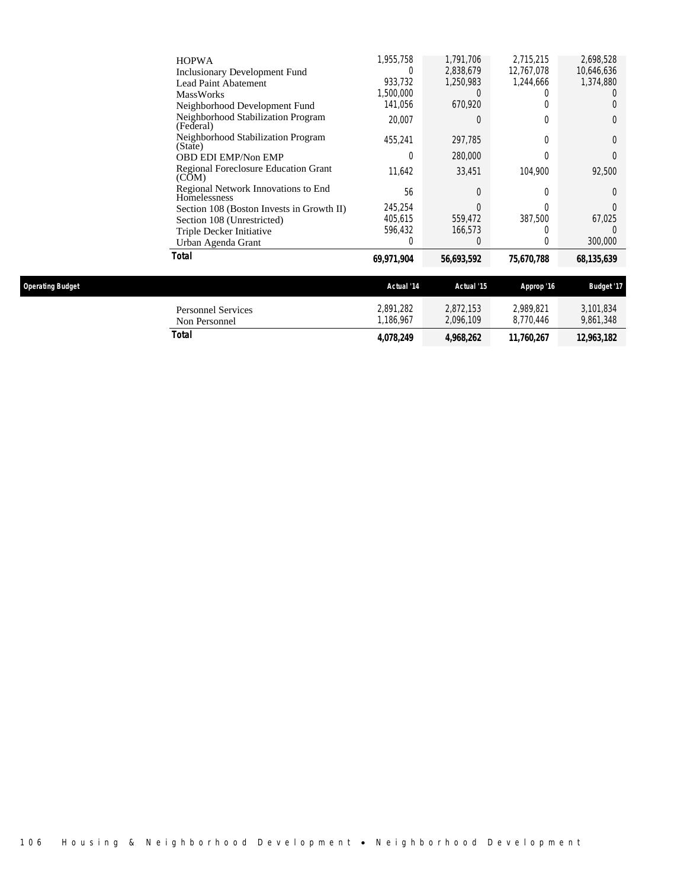| Total                                                | 69,971,904 | 56,693,592 | 75,670,788 | 68,135,639 |
|------------------------------------------------------|------------|------------|------------|------------|
| Urban Agenda Grant                                   | 0          | 0          | 0          | 300,000    |
| Triple Decker Initiative                             | 596,432    | 166,573    | 0          |            |
| Section 108 (Unrestricted)                           | 405,615    | 559,472    | 387,500    | 67,025     |
| Section 108 (Boston Invests in Growth II)            | 245.254    | U          | U          |            |
| Regional Network Innovations to End<br>Homelessness  | 56         | $\Omega$   | 0          | 0          |
| <b>Regional Foreclosure Education Grant</b><br>(COM) | 11.642     | 33.451     | 104.900    | 92,500     |
| <b>OBD EDI EMP/Non EMP</b>                           | 0          | 280,000    | 0          |            |
| Neighborhood Stabilization Program<br>(State)        | 455,241    | 297,785    | 0          | 0          |
| Neighborhood Stabilization Program<br>(Federal)      | 20,007     | 0          | 0          | 0          |
| Neighborhood Development Fund                        | 141.056    | 670.920    | 0          |            |
| <b>MassWorks</b>                                     | 1,500,000  |            |            |            |
| Lead Paint Abatement                                 | 933,732    | 1.250.983  | 1,244,666  | 1,374,880  |
| <b>Inclusionary Development Fund</b>                 | 0          | 2,838,679  | 12,767,078 | 10,646,636 |
| <b>HOPWA</b>                                         | 1,955,758  | 1.791.706  | 2.715.215  | 2,698,528  |

| <b>Operating Budget</b> |                                     | Actual '14            | Actual '15             | Approp '16             | Budget '17             |
|-------------------------|-------------------------------------|-----------------------|------------------------|------------------------|------------------------|
|                         | Personnel Services<br>Non Personnel | 2,891,282<br>.186.967 | 2,872,153<br>2,096,109 | 2.989.821<br>8.770.446 | 3.101.834<br>9,861,348 |
|                         | Total                               | 4,078,249             | 4,968,262              | 11.760.267             | 12,963,182             |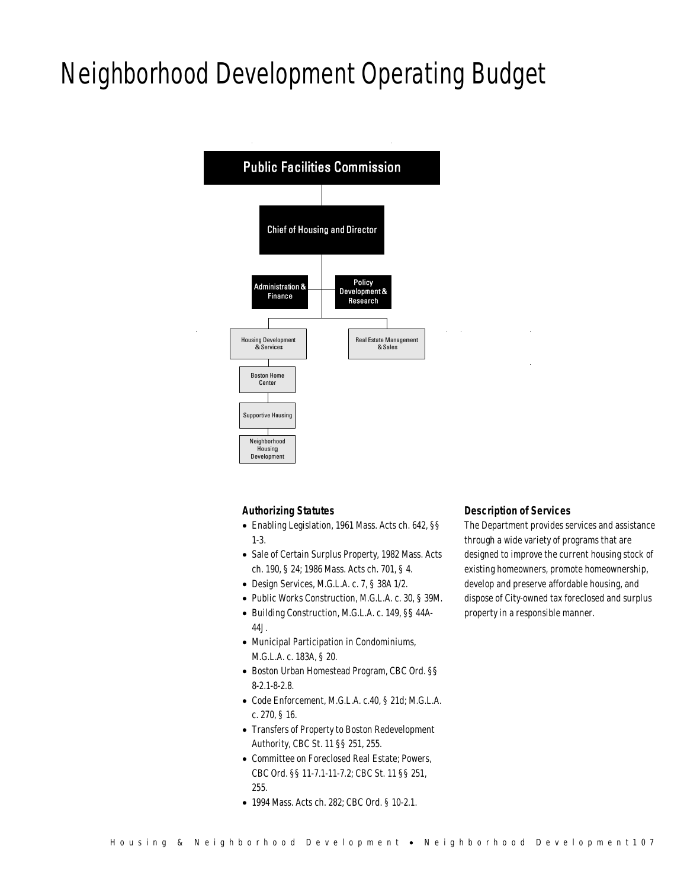# Neighborhood Development Operating Budget



## *Authorizing Statutes*

- Enabling Legislation, 1961 Mass. Acts ch. 642, §§ 1-3.
- Sale of Certain Surplus Property, 1982 Mass. Acts ch. 190, § 24; 1986 Mass. Acts ch. 701, § 4.
- Design Services, M.G.L.A. c. 7, § 38A 1/2.
- Public Works Construction, M.G.L.A. c. 30, § 39M.
- Building Construction, M.G.L.A. c. 149, §§ 44A-44J.
- Municipal Participation in Condominiums, M.G.L.A. c. 183A, § 20.
- Boston Urban Homestead Program, CBC Ord. §§ 8-2.1-8-2.8.
- Code Enforcement, M.G.L.A. c.40, § 21d; M.G.L.A. c. 270, § 16.
- Transfers of Property to Boston Redevelopment Authority, CBC St. 11 §§ 251, 255.
- Committee on Foreclosed Real Estate; Powers, CBC Ord. §§ 11-7.1-11-7.2; CBC St. 11 §§ 251, 255.
- 1994 Mass. Acts ch. 282; CBC Ord. § 10-2.1.

## *Description of Services*

The Department provides services and assistance through a wide variety of programs that are designed to improve the current housing stock of existing homeowners, promote homeownership, develop and preserve affordable housing, and dispose of City-owned tax foreclosed and surplus property in a responsible manner.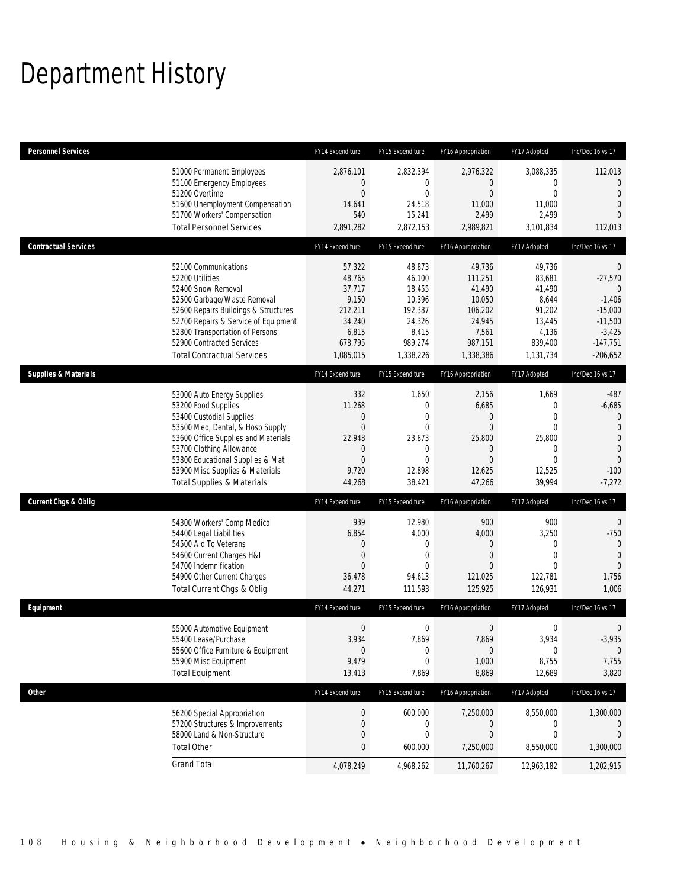# Department History

| <b>Personnel Services</b>       |                                                                                                                                                                                                                                                                                                      | FY14 Expenditure                                                                          | FY15 Expenditure                                                                                                     | FY16 Appropriation                                                                                   | FY17 Adopted                                                                             | Inc/Dec 16 vs 17                                                                                                         |
|---------------------------------|------------------------------------------------------------------------------------------------------------------------------------------------------------------------------------------------------------------------------------------------------------------------------------------------------|-------------------------------------------------------------------------------------------|----------------------------------------------------------------------------------------------------------------------|------------------------------------------------------------------------------------------------------|------------------------------------------------------------------------------------------|--------------------------------------------------------------------------------------------------------------------------|
|                                 | 51000 Permanent Employees<br>51100 Emergency Employees<br>51200 Overtime<br>51600 Unemployment Compensation<br>51700 Workers' Compensation<br><b>Total Personnel Services</b>                                                                                                                        | 2,876,101<br>0<br>$\overline{0}$<br>14,641<br>540<br>2,891,282                            | 2,832,394<br>0<br>$\mathbf 0$<br>24,518<br>15,241<br>2,872,153                                                       | 2,976,322<br>0<br>$\overline{0}$<br>11,000<br>2,499<br>2,989,821                                     | 3,088,335<br>0<br>0<br>11,000<br>2,499<br>3,101,834                                      | 112,013<br>$\theta$<br>$\overline{0}$<br>$\mathbf 0$<br>$\Omega$<br>112,013                                              |
| <b>Contractual Services</b>     |                                                                                                                                                                                                                                                                                                      | FY14 Expenditure                                                                          | FY15 Expenditure                                                                                                     | FY16 Appropriation                                                                                   | FY17 Adopted                                                                             | Inc/Dec 16 vs 17                                                                                                         |
|                                 | 52100 Communications<br>52200 Utilities<br>52400 Snow Removal<br>52500 Garbage/Waste Removal<br>52600 Repairs Buildings & Structures<br>52700 Repairs & Service of Equipment<br>52800 Transportation of Persons<br>52900 Contracted Services<br><b>Total Contractual Services</b>                    | 57,322<br>48,765<br>37,717<br>9,150<br>212,211<br>34,240<br>6,815<br>678,795<br>1,085,015 | 48,873<br>46,100<br>18,455<br>10,396<br>192,387<br>24,326<br>8,415<br>989,274<br>1,338,226                           | 49,736<br>111,251<br>41,490<br>10,050<br>106,202<br>24,945<br>7,561<br>987,151<br>1,338,386          | 49,736<br>83,681<br>41,490<br>8,644<br>91,202<br>13,445<br>4,136<br>839,400<br>1,131,734 | $\overline{0}$<br>$-27,570$<br>$\theta$<br>$-1,406$<br>$-15,000$<br>$-11,500$<br>$-3,425$<br>$-147,751$<br>$-206,652$    |
| <b>Supplies &amp; Materials</b> |                                                                                                                                                                                                                                                                                                      | FY14 Expenditure                                                                          | FY15 Expenditure                                                                                                     | FY16 Appropriation                                                                                   | FY17 Adopted                                                                             | Inc/Dec 16 vs 17                                                                                                         |
|                                 | 53000 Auto Energy Supplies<br>53200 Food Supplies<br>53400 Custodial Supplies<br>53500 Med, Dental, & Hosp Supply<br>53600 Office Supplies and Materials<br>53700 Clothing Allowance<br>53800 Educational Supplies & Mat<br>53900 Misc Supplies & Materials<br><b>Total Supplies &amp; Materials</b> | 332<br>11,268<br>0<br>0<br>22,948<br>0<br>$\overline{0}$<br>9,720<br>44,268               | 1,650<br>$\boldsymbol{0}$<br>$\mathbf 0$<br>$\mathbf{0}$<br>23,873<br>$\mathbf 0$<br>$\mathbf 0$<br>12,898<br>38,421 | 2,156<br>6,685<br>0<br>$\overline{0}$<br>25,800<br>$\mathbf 0$<br>$\overline{0}$<br>12,625<br>47,266 | 1,669<br>0<br>$\overline{0}$<br>0<br>25,800<br>0<br>$\overline{0}$<br>12,525<br>39,994   | $-487$<br>$-6,685$<br>$\mathbf{0}$<br>$\mathbf 0$<br>$\mathbf 0$<br>$\overline{0}$<br>$\mathbf{0}$<br>$-100$<br>$-7,272$ |
| <b>Current Chgs &amp; Oblig</b> |                                                                                                                                                                                                                                                                                                      | FY14 Expenditure                                                                          | FY15 Expenditure                                                                                                     | FY16 Appropriation                                                                                   | FY17 Adopted                                                                             | Inc/Dec 16 vs 17                                                                                                         |
|                                 | 54300 Workers' Comp Medical<br>54400 Legal Liabilities<br>54500 Aid To Veterans<br>54600 Current Charges H&I<br>54700 Indemnification<br>54900 Other Current Charges<br>Total Current Chgs & Oblig                                                                                                   | 939<br>6,854<br>0<br>0<br>0<br>36,478<br>44,271                                           | 12,980<br>4,000<br>$\mathbf 0$<br>$\mathbf{0}$<br>$\Omega$<br>94,613<br>111,593                                      | 900<br>4,000<br>0<br>$\overline{0}$<br>$\Omega$<br>121,025<br>125,925                                | 900<br>3,250<br>$\mathbf{0}$<br>$\overline{0}$<br>$\Omega$<br>122,781<br>126,931         | $\overline{0}$<br>$-750$<br>$\mathbf 0$<br>$\overline{0}$<br>$\Omega$<br>1,756<br>1,006                                  |
| Equipment                       |                                                                                                                                                                                                                                                                                                      | FY14 Expenditure                                                                          | FY15 Expenditure                                                                                                     | FY16 Appropriation                                                                                   | FY17 Adopted                                                                             | Inc/Dec 16 vs 17                                                                                                         |
|                                 | 55000 Automotive Equipment<br>55400 Lease/Purchase<br>55600 Office Furniture & Equipment<br>55900 Misc Equipment<br><b>Total Equipment</b>                                                                                                                                                           | $\boldsymbol{0}$<br>3,934<br>$\mathbf 0$<br>9,479<br>13,413                               | $\boldsymbol{0}$<br>7,869<br>0<br>$\mathbf 0$<br>7,869                                                               | $\mathbf 0$<br>7,869<br>0<br>1,000<br>8,869                                                          | 0<br>3,934<br>0<br>8,755<br>12,689                                                       | 0<br>$-3,935$<br>$\boldsymbol{0}$<br>7,755<br>3,820                                                                      |
| <b>Other</b>                    |                                                                                                                                                                                                                                                                                                      | FY14 Expenditure                                                                          | FY15 Expenditure                                                                                                     | FY16 Appropriation                                                                                   | FY17 Adopted                                                                             | Inc/Dec 16 vs 17                                                                                                         |
|                                 | 56200 Special Appropriation<br>57200 Structures & Improvements<br>58000 Land & Non-Structure<br><b>Total Other</b>                                                                                                                                                                                   | $\boldsymbol{0}$<br>0<br>0<br>0                                                           | 600,000<br>0<br>$\boldsymbol{0}$<br>600,000                                                                          | 7,250,000<br>0<br>0<br>7,250,000                                                                     | 8,550,000<br>0<br>0<br>8,550,000                                                         | 1,300,000<br>$\mathbf 0$<br>$\mathbf{0}$<br>1,300,000                                                                    |
|                                 | <b>Grand Total</b>                                                                                                                                                                                                                                                                                   | 4,078,249                                                                                 | 4,968,262                                                                                                            | 11,760,267                                                                                           | 12,963,182                                                                               | 1,202,915                                                                                                                |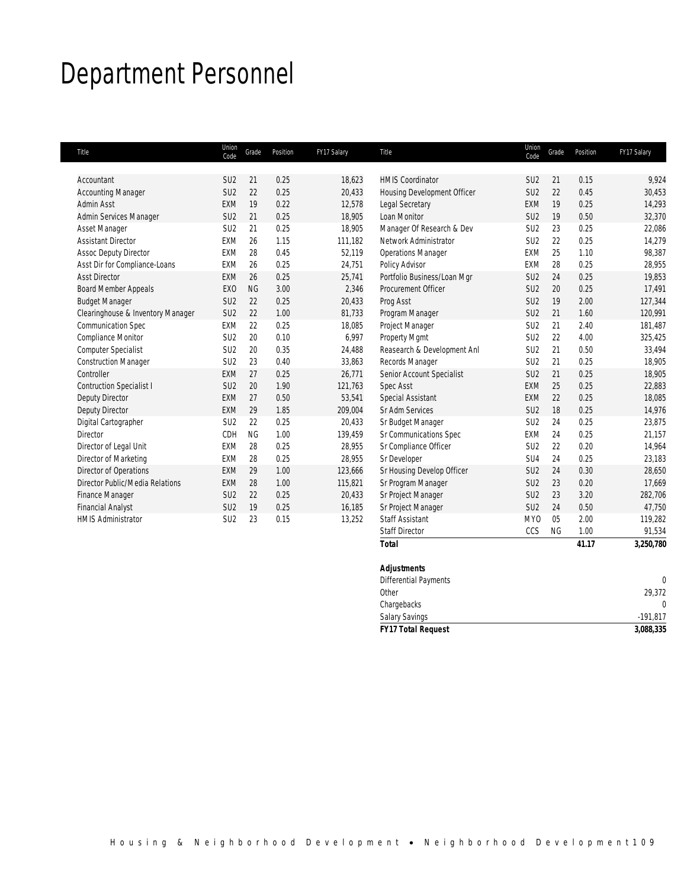# Department Personnel

| Title                             | Union<br>Code   | Grade     | Position | FY17 Salary | Title                       | Union<br>Code   | Grade     | Position | FY17 Salary |
|-----------------------------------|-----------------|-----------|----------|-------------|-----------------------------|-----------------|-----------|----------|-------------|
|                                   |                 |           |          |             |                             |                 |           |          |             |
| Accountant                        | SU <sub>2</sub> | 21        | 0.25     | 18,623      | <b>HMIS Coordinator</b>     | SU <sub>2</sub> | 21        | 0.15     | 9,924       |
| <b>Accounting Manager</b>         | SU <sub>2</sub> | 22        | 0.25     | 20,433      | Housing Development Officer | SU <sub>2</sub> | 22        | 0.45     | 30,453      |
| <b>Admin Asst</b>                 | EXM             | 19        | 0.22     | 12,578      | Legal Secretary             | <b>EXM</b>      | 19        | 0.25     | 14,293      |
| Admin Services Manager            | SU <sub>2</sub> | 21        | 0.25     | 18.905      | Loan Monitor                | SU <sub>2</sub> | 19        | 0.50     | 32,370      |
| Asset Manager                     | SU <sub>2</sub> | 21        | 0.25     | 18,905      | Manager Of Research & Dev   | SU <sub>2</sub> | 23        | 0.25     | 22,086      |
| <b>Assistant Director</b>         | <b>EXM</b>      | 26        | 1.15     | 111.182     | Network Administrator       | SU <sub>2</sub> | 22        | 0.25     | 14.279      |
| <b>Assoc Deputy Director</b>      | <b>FXM</b>      | 28        | 0.45     | 52.119      | <b>Operations Manager</b>   | <b>EXM</b>      | 25        | 1.10     | 98,387      |
| Asst Dir for Compliance-Loans     | EXM             | 26        | 0.25     | 24,751      | Policy Advisor              | <b>EXM</b>      | 28        | 0.25     | 28,955      |
| <b>Asst Director</b>              | EXM             | 26        | 0.25     | 25,741      | Portfolio Business/Loan Mgr | SU <sub>2</sub> | 24        | 0.25     | 19,853      |
| <b>Board Member Appeals</b>       | EX <sub>0</sub> | <b>NG</b> | 3.00     | 2,346       | Procurement Officer         | SU <sub>2</sub> | 20        | 0.25     | 17,491      |
| <b>Budget Manager</b>             | SU <sub>2</sub> | 22        | 0.25     | 20,433      | Prog Asst                   | SU <sub>2</sub> | 19        | 2.00     | 127,344     |
| Clearinghouse & Inventory Manager | SU <sub>2</sub> | 22        | 1.00     | 81,733      | Program Manager             | SU <sub>2</sub> | 21        | 1.60     | 120,991     |
| <b>Communication Spec</b>         | EXM             | 22        | 0.25     | 18,085      | Project Manager             | SU <sub>2</sub> | 21        | 2.40     | 181,487     |
| <b>Compliance Monitor</b>         | SU <sub>2</sub> | 20        | 0.10     | 6,997       | Property Mamt               | SU <sub>2</sub> | 22        | 4.00     | 325,425     |
| Computer Specialist               | SU <sub>2</sub> | 20        | 0.35     | 24,488      | Reasearch & Development Anl | SU <sub>2</sub> | 21        | 0.50     | 33,494      |
| <b>Construction Manager</b>       | SU <sub>2</sub> | 23        | 0.40     | 33,863      | Records Manager             | SU <sub>2</sub> | 21        | 0.25     | 18,905      |
| Controller                        | <b>EXM</b>      | 27        | 0.25     | 26.771      | Senior Account Specialist   | SU <sub>2</sub> | 21        | 0.25     | 18,905      |
| <b>Contruction Specialist I</b>   | SU <sub>2</sub> | 20        | 1.90     | 121,763     | <b>Spec Asst</b>            | EXM             | 25        | 0.25     | 22,883      |
| Deputy Director                   | EXM             | 27        | 0.50     | 53,541      | Special Assistant           | <b>EXM</b>      | 22        | 0.25     | 18,085      |
| Deputy Director                   | <b>EXM</b>      | 29        | 1.85     | 209,004     | <b>Sr Adm Services</b>      | SU <sub>2</sub> | 18        | 0.25     | 14,976      |
| Digital Cartographer              | SU <sub>2</sub> | 22        | 0.25     | 20,433      | Sr Budget Manager           | SU <sub>2</sub> | 24        | 0.25     | 23,875      |
| Director                          | CDH             | <b>NG</b> | 1.00     | 139,459     | Sr Communications Spec      | <b>EXM</b>      | 24        | 0.25     | 21,157      |
| Director of Legal Unit            | <b>EXM</b>      | 28        | 0.25     | 28.955      | Sr Compliance Officer       | SU <sub>2</sub> | 22        | 0.20     | 14,964      |
| Director of Marketing             | EXM             | 28        | 0.25     | 28,955      | Sr Developer                | SU <sub>4</sub> | 24        | 0.25     | 23,183      |
| Director of Operations            | EXM             | 29        | 1.00     | 123,666     | Sr Housing Develop Officer  | SU <sub>2</sub> | 24        | 0.30     | 28,650      |
| Director Public/Media Relations   | <b>EXM</b>      | 28        | 1.00     | 115,821     | Sr Program Manager          | SU <sub>2</sub> | 23        | 0.20     | 17,669      |
| Finance Manager                   | SU <sub>2</sub> | 22        | 0.25     | 20,433      | Sr Project Manager          | SU <sub>2</sub> | 23        | 3.20     | 282,706     |
| <b>Financial Analyst</b>          | SU <sub>2</sub> | 19        | 0.25     | 16,185      | Sr Project Manager          | SU <sub>2</sub> | 24        | 0.50     | 47.750      |
| <b>HMIS Administrator</b>         | SU <sub>2</sub> | 23        | 0.15     | 13,252      | <b>Staff Assistant</b>      | <b>MYO</b>      | 05        | 2.00     | 119,282     |
|                                   |                 |           |          |             | <b>Staff Director</b>       | CCS             | <b>NG</b> | 1.00     | 91,534      |

| Total                     | 41.17 | 3,250,780    |
|---------------------------|-------|--------------|
| <b>Adjustments</b>        |       |              |
| Differential Payments     |       | $\mathbf{0}$ |
| Other                     |       | 29,372       |
| Chargebacks               |       | $\mathbf{0}$ |
| Salary Savings            |       | $-191,817$   |
| <b>FY17 Total Request</b> |       | 3,088,335    |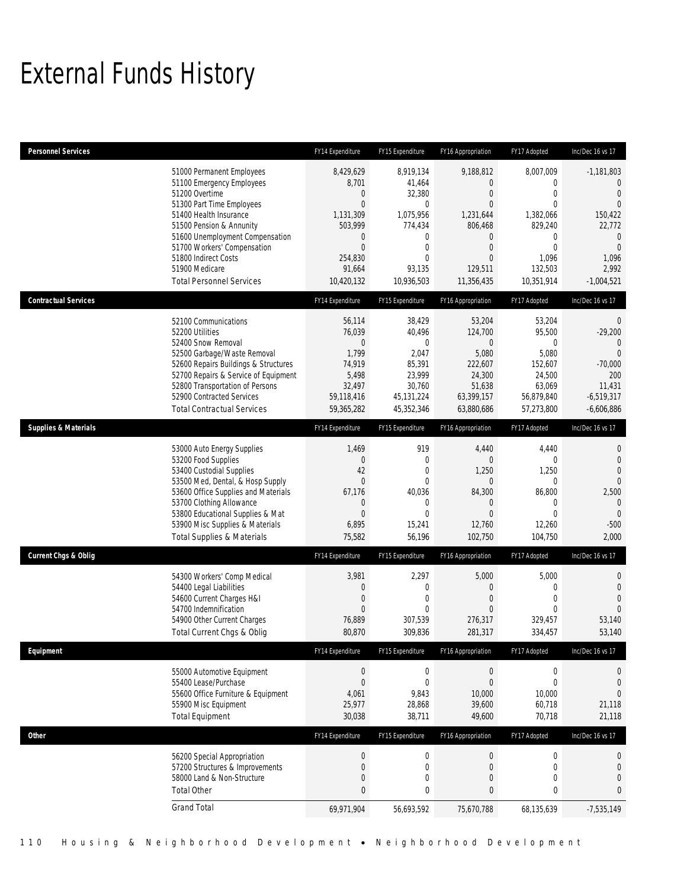# External Funds History

| <b>Personnel Services</b>       |                                                                                                                                                                                                                                                                                                            | FY14 Expenditure                                                                                                                                | FY15 Expenditure                                                                                                                            | FY16 Appropriation                                                                                                                         | FY17 Adopted                                                                                                                                    | Inc/Dec 16 vs 17                                                                                                                                   |
|---------------------------------|------------------------------------------------------------------------------------------------------------------------------------------------------------------------------------------------------------------------------------------------------------------------------------------------------------|-------------------------------------------------------------------------------------------------------------------------------------------------|---------------------------------------------------------------------------------------------------------------------------------------------|--------------------------------------------------------------------------------------------------------------------------------------------|-------------------------------------------------------------------------------------------------------------------------------------------------|----------------------------------------------------------------------------------------------------------------------------------------------------|
|                                 | 51000 Permanent Employees<br>51100 Emergency Employees<br>51200 Overtime<br>51300 Part Time Employees<br>51400 Health Insurance<br>51500 Pension & Annunity<br>51600 Unemployment Compensation<br>51700 Workers' Compensation<br>51800 Indirect Costs<br>51900 Medicare<br><b>Total Personnel Services</b> | 8,429,629<br>8,701<br>$\mathbf 0$<br>$\overline{0}$<br>1,131,309<br>503,999<br>$\mathbf 0$<br>$\overline{0}$<br>254,830<br>91,664<br>10,420,132 | 8.919.134<br>41,464<br>32,380<br>$\mathbf{0}$<br>1,075,956<br>774,434<br>$\mathbf 0$<br>$\mathbf 0$<br>$\mathbf{0}$<br>93,135<br>10,936,503 | 9,188,812<br>0<br>$\overline{0}$<br>$\overline{0}$<br>1.231.644<br>806,468<br>0<br>$\overline{0}$<br>$\mathbf{0}$<br>129,511<br>11,356,435 | 8,007,009<br>$\mathbf{0}$<br>$\mathbf{0}$<br>$\Omega$<br>1,382,066<br>829,240<br>$\mathbf{0}$<br>$\mathbf{0}$<br>1,096<br>132,503<br>10,351,914 | $-1,181,803$<br>$\mathbf{0}$<br>$\overline{0}$<br>$\Omega$<br>150.422<br>22,772<br>$\mathbf 0$<br>$\overline{0}$<br>1,096<br>2,992<br>$-1,004,521$ |
| <b>Contractual Services</b>     |                                                                                                                                                                                                                                                                                                            | FY14 Expenditure                                                                                                                                | FY15 Expenditure                                                                                                                            | FY16 Appropriation                                                                                                                         | FY17 Adopted                                                                                                                                    | Inc/Dec 16 vs 17                                                                                                                                   |
|                                 | 52100 Communications<br>52200 Utilities<br>52400 Snow Removal<br>52500 Garbage/Waste Removal<br>52600 Repairs Buildings & Structures<br>52700 Repairs & Service of Equipment<br>52800 Transportation of Persons<br>52900 Contracted Services<br><b>Total Contractual Services</b>                          | 56,114<br>76,039<br>$\mathbf 0$<br>1,799<br>74,919<br>5,498<br>32,497<br>59,118,416<br>59,365,282                                               | 38,429<br>40,496<br>$\mathbf{0}$<br>2,047<br>85,391<br>23,999<br>30,760<br>45, 131, 224<br>45,352,346                                       | 53,204<br>124,700<br>$\boldsymbol{0}$<br>5,080<br>222,607<br>24,300<br>51,638<br>63,399,157<br>63,880,686                                  | 53,204<br>95,500<br>$\overline{0}$<br>5,080<br>152,607<br>24,500<br>63,069<br>56,879,840<br>57,273,800                                          | 0<br>$-29,200$<br>$\theta$<br>$\overline{0}$<br>$-70,000$<br>200<br>11,431<br>$-6,519,317$<br>$-6,606,886$                                         |
| <b>Supplies &amp; Materials</b> |                                                                                                                                                                                                                                                                                                            | FY14 Expenditure                                                                                                                                | FY15 Expenditure                                                                                                                            | FY16 Appropriation                                                                                                                         | FY17 Adopted                                                                                                                                    | Inc/Dec 16 vs 17                                                                                                                                   |
|                                 | 53000 Auto Energy Supplies<br>53200 Food Supplies<br>53400 Custodial Supplies<br>53500 Med, Dental, & Hosp Supply<br>53600 Office Supplies and Materials<br>53700 Clothing Allowance<br>53800 Educational Supplies & Mat<br>53900 Misc Supplies & Materials<br><b>Total Supplies &amp; Materials</b>       | 1,469<br>$\boldsymbol{0}$<br>42<br>$\overline{0}$<br>67,176<br>0<br>$\overline{0}$<br>6,895<br>75,582                                           | 919<br>$\mathbf 0$<br>$\mathbf{0}$<br>$\mathbf{0}$<br>40,036<br>$\mathbf{0}$<br>$\mathbf{0}$<br>15,241<br>56,196                            | 4,440<br>0<br>1,250<br>$\theta$<br>84,300<br>$\theta$<br>$\mathbf{0}$<br>12,760<br>102,750                                                 | 4,440<br>$\mathbf{0}$<br>1,250<br>$\mathbf{0}$<br>86,800<br>$\mathbf{0}$<br>$\Omega$<br>12,260<br>104,750                                       | 0<br>$\overline{0}$<br>$\overline{0}$<br>$\mathbf{0}$<br>2,500<br>$\mathbf{0}$<br>$\Omega$<br>$-500$<br>2,000                                      |
| <b>Current Chgs &amp; Oblig</b> |                                                                                                                                                                                                                                                                                                            | FY14 Expenditure                                                                                                                                | FY15 Expenditure                                                                                                                            | FY16 Appropriation                                                                                                                         | FY17 Adopted                                                                                                                                    | Inc/Dec 16 vs 17                                                                                                                                   |
|                                 | 54300 Workers' Comp Medical<br>54400 Legal Liabilities<br>54600 Current Charges H&I<br>54700 Indemnification<br>54900 Other Current Charges<br>Total Current Chgs & Oblig                                                                                                                                  | 3,981<br>$\mathbf 0$<br>$\overline{0}$<br>0<br>76,889<br>80,870                                                                                 | 2,297<br>$\mathbf 0$<br>$\mathbf{0}$<br>$\Omega$<br>307,539<br>309,836                                                                      | 5,000<br>$\mathbf 0$<br>$\boldsymbol{0}$<br>$\mathbf{0}$<br>276,317<br>281,317                                                             | 5,000<br>$\mathbf{0}$<br>$\overline{0}$<br>$\mathbf{0}$<br>329,457<br>334,457                                                                   | $\mathbf 0$<br>$\theta$<br>$\mathbf{0}$<br>$\mathbf{0}$<br>53,140<br>53,140                                                                        |
| Equipment                       |                                                                                                                                                                                                                                                                                                            | FY14 Expenditure                                                                                                                                | FY15 Expenditure                                                                                                                            | FY16 Appropriation                                                                                                                         | FY17 Adopted                                                                                                                                    | Inc/Dec 16 vs 17                                                                                                                                   |
|                                 | 55000 Automotive Equipment<br>55400 Lease/Purchase<br>55600 Office Furniture & Equipment<br>55900 Misc Equipment<br><b>Total Equipment</b>                                                                                                                                                                 | $\boldsymbol{0}$<br>$\boldsymbol{0}$<br>4,061<br>25,977<br>30,038                                                                               | $\boldsymbol{0}$<br>$\mathbf 0$<br>9,843<br>28,868<br>38,711                                                                                | $\boldsymbol{0}$<br>$\boldsymbol{0}$<br>10,000<br>39,600<br>49,600                                                                         | $\boldsymbol{0}$<br>$\boldsymbol{0}$<br>10,000<br>60,718<br>70,718                                                                              | 0<br>$\theta$<br>$\theta$<br>21,118<br>21,118                                                                                                      |
| Other                           |                                                                                                                                                                                                                                                                                                            | FY14 Expenditure                                                                                                                                | FY15 Expenditure                                                                                                                            | FY16 Appropriation                                                                                                                         | FY17 Adopted                                                                                                                                    | Inc/Dec 16 vs 17                                                                                                                                   |
|                                 | 56200 Special Appropriation<br>57200 Structures & Improvements<br>58000 Land & Non-Structure<br><b>Total Other</b>                                                                                                                                                                                         | $\boldsymbol{0}$<br>$\mathbf 0$<br>$\mathbf 0$<br>0                                                                                             | $\boldsymbol{0}$<br>$\mathbf 0$<br>$\mathbf 0$<br>0                                                                                         | $\boldsymbol{0}$<br>$\boldsymbol{0}$<br>$\boldsymbol{0}$<br>$\pmb{0}$                                                                      | $\mathbf 0$<br>$\mathbf 0$<br>$\mathbf 0$<br>$\pmb{0}$                                                                                          | $\mathbf 0$<br>$\mathbf 0$<br>$\mathbf 0$<br>$\pmb{0}$                                                                                             |
|                                 | <b>Grand Total</b>                                                                                                                                                                                                                                                                                         | 69,971,904                                                                                                                                      | 56,693,592                                                                                                                                  | 75,670,788                                                                                                                                 | 68,135,639                                                                                                                                      | $-7,535,149$                                                                                                                                       |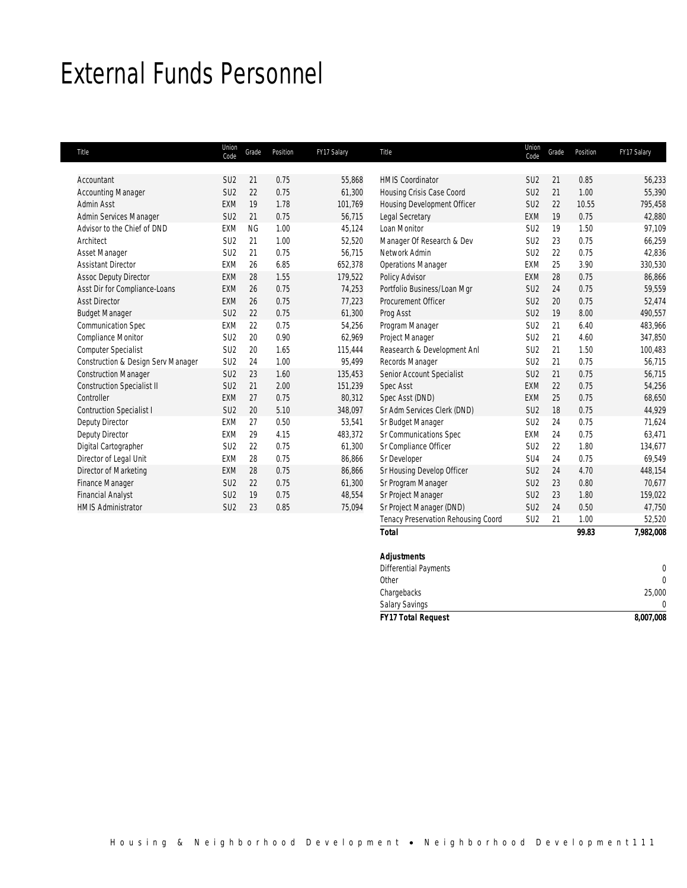## External Funds Personnel

| Title                              | Union<br>Code   | Grade     | Position | FY17 Salary | Title                               | Union<br>Code   | Grade | Position | FY17 Salary |
|------------------------------------|-----------------|-----------|----------|-------------|-------------------------------------|-----------------|-------|----------|-------------|
|                                    |                 |           |          |             |                                     |                 |       |          |             |
| Accountant                         | SU <sub>2</sub> | 21        | 0.75     | 55,868      | <b>HMIS Coordinator</b>             | SU <sub>2</sub> | 21    | 0.85     | 56,233      |
| <b>Accounting Manager</b>          | SU <sub>2</sub> | 22        | 0.75     | 61,300      | Housing Crisis Case Coord           | SU <sub>2</sub> | 21    | 1.00     | 55,390      |
| <b>Admin Asst</b>                  | <b>EXM</b>      | 19        | 1.78     | 101,769     | Housing Development Officer         | SU <sub>2</sub> | 22    | 10.55    | 795,458     |
| Admin Services Manager             | SU <sub>2</sub> | 21        | 0.75     | 56,715      | Legal Secretary                     | <b>EXM</b>      | 19    | 0.75     | 42,880      |
| Advisor to the Chief of DND        | <b>EXM</b>      | <b>NG</b> | 1.00     | 45,124      | Loan Monitor                        | SU <sub>2</sub> | 19    | 1.50     | 97,109      |
| Architect                          | SU <sub>2</sub> | 21        | 1.00     | 52,520      | Manager Of Research & Dev           | SU <sub>2</sub> | 23    | 0.75     | 66,259      |
| Asset Manager                      | SU <sub>2</sub> | 21        | 0.75     | 56,715      | Network Admin                       | SU <sub>2</sub> | 22    | 0.75     | 42,836      |
| <b>Assistant Director</b>          | <b>EXM</b>      | 26        | 6.85     | 652,378     | <b>Operations Manager</b>           | <b>EXM</b>      | 25    | 3.90     | 330,530     |
| <b>Assoc Deputy Director</b>       | <b>EXM</b>      | 28        | 1.55     | 179,522     | Policy Advisor                      | <b>EXM</b>      | 28    | 0.75     | 86,866      |
| Asst Dir for Compliance-Loans      | <b>EXM</b>      | 26        | 0.75     | 74,253      | Portfolio Business/Loan Mgr         | SU <sub>2</sub> | 24    | 0.75     | 59,559      |
| <b>Asst Director</b>               | <b>EXM</b>      | 26        | 0.75     | 77,223      | Procurement Officer                 | SU <sub>2</sub> | 20    | 0.75     | 52,474      |
| <b>Budget Manager</b>              | SU <sub>2</sub> | 22        | 0.75     | 61,300      | Prog Asst                           | SU <sub>2</sub> | 19    | 8.00     | 490,557     |
| <b>Communication Spec</b>          | <b>EXM</b>      | 22        | 0.75     | 54,256      | Program Manager                     | SU <sub>2</sub> | 21    | 6.40     | 483,966     |
| <b>Compliance Monitor</b>          | SU <sub>2</sub> | 20        | 0.90     | 62,969      | Project Manager                     | SU <sub>2</sub> | 21    | 4.60     | 347,850     |
| Computer Specialist                | SU <sub>2</sub> | 20        | 1.65     | 115.444     | Reasearch & Development Anl         | SU <sub>2</sub> | 21    | 1.50     | 100,483     |
| Construction & Design Serv Manager | SU <sub>2</sub> | 24        | 1.00     | 95,499      | Records Manager                     | SU <sub>2</sub> | 21    | 0.75     | 56,715      |
| <b>Construction Manager</b>        | SU <sub>2</sub> | 23        | 1.60     | 135,453     | Senior Account Specialist           | SU <sub>2</sub> | 21    | 0.75     | 56,715      |
| <b>Construction Specialist II</b>  | SU <sub>2</sub> | 21        | 2.00     | 151,239     | Spec Asst                           | EXM             | 22    | 0.75     | 54,256      |
| Controller                         | <b>EXM</b>      | 27        | 0.75     | 80,312      | Spec Asst (DND)                     | <b>EXM</b>      | 25    | 0.75     | 68,650      |
| <b>Contruction Specialist I</b>    | SU <sub>2</sub> | 20        | 5.10     | 348,097     | Sr Adm Services Clerk (DND)         | SU <sub>2</sub> | 18    | 0.75     | 44.929      |
| Deputy Director                    | <b>EXM</b>      | 27        | 0.50     | 53.541      | Sr Budget Manager                   | SU <sub>2</sub> | 24    | 0.75     | 71,624      |
| Deputy Director                    | <b>EXM</b>      | 29        | 4.15     | 483,372     | Sr Communications Spec              | <b>EXM</b>      | 24    | 0.75     | 63,471      |
| Digital Cartographer               | SU <sub>2</sub> | 22        | 0.75     | 61,300      | Sr Compliance Officer               | SU <sub>2</sub> | 22    | 1.80     | 134,677     |
| Director of Legal Unit             | <b>EXM</b>      | 28        | 0.75     | 86,866      | Sr Developer                        | SU <sub>4</sub> | 24    | 0.75     | 69,549      |
| Director of Marketing              | <b>EXM</b>      | 28        | 0.75     | 86,866      | Sr Housing Develop Officer          | SU <sub>2</sub> | 24    | 4.70     | 448,154     |
| Finance Manager                    | SU <sub>2</sub> | 22        | 0.75     | 61,300      | Sr Program Manager                  | SU <sub>2</sub> | 23    | 0.80     | 70.677      |
| <b>Financial Analyst</b>           | SU <sub>2</sub> | 19        | 0.75     | 48,554      | Sr Project Manager                  | SU <sub>2</sub> | 23    | 1.80     | 159,022     |
| <b>HMIS Administrator</b>          | SU <sub>2</sub> | 23        | 0.85     | 75,094      | Sr Project Manager (DND)            | SU <sub>2</sub> | 24    | 0.50     | 47,750      |
|                                    |                 |           |          |             | Tenacy Preservation Rehousing Coord | SU <sub>2</sub> | 21    | 1.00     | 52,520      |

| <b>HMIS Administrator</b> | SU <sub>2</sub> | 23 | 0.85 | 75,094 | Sr Project Manager (DND)            | SU <sub>2</sub> | 24  | 0.50  | 47,750       |
|---------------------------|-----------------|----|------|--------|-------------------------------------|-----------------|-----|-------|--------------|
|                           |                 |    |      |        | Tenacy Preservation Rehousing Coord | SU <sub>2</sub> | -21 | 1.00  | 52,520       |
|                           |                 |    |      |        | <b>Total</b>                        |                 |     | 99.83 | 7,982,008    |
|                           |                 |    |      |        | <b>Adjustments</b>                  |                 |     |       |              |
|                           |                 |    |      |        | <b>Differential Payments</b>        |                 |     |       | 0            |
|                           |                 |    |      |        | Other                               |                 |     |       | $\mathbf{0}$ |
|                           |                 |    |      |        | Chargebacks                         |                 |     |       | 25,000       |
|                           |                 |    |      |        | <b>Salary Savings</b>               |                 |     |       | $\mathbf{0}$ |
|                           |                 |    |      |        | <b>FY17 Total Request</b>           |                 |     |       | 8,007,008    |
|                           |                 |    |      |        |                                     |                 |     |       |              |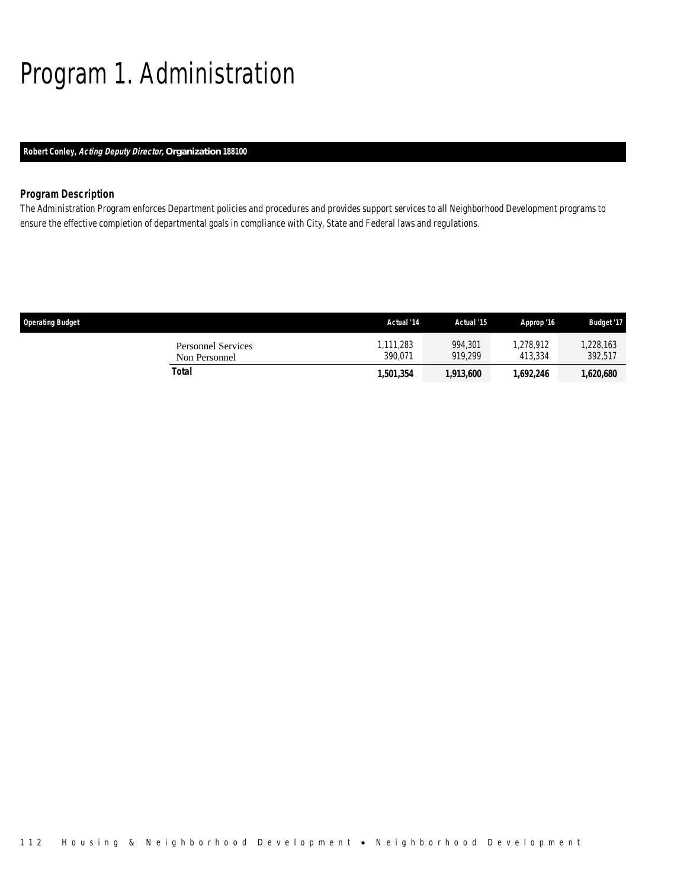# Program 1. Administration

## *Robert Conley, Acting Deputy Director, Organization 188100*

## *Program Description*

The Administration Program enforces Department policies and procedures and provides support services to all Neighborhood Development programs to ensure the effective completion of departmental goals in compliance with City, State and Federal laws and regulations.

| <b>Operating Budget</b>                    | Actual '14          | Actual '15         | Approp '16          | <b>Budget '17</b>   |
|--------------------------------------------|---------------------|--------------------|---------------------|---------------------|
| <b>Personnel Services</b><br>Non Personnel | .111.283<br>390.071 | 994.301<br>919.299 | .278.912<br>413.334 | ,228,163<br>392,517 |
| Total                                      | ,501,354            | 1,913,600          | 1,692,246           | ,620,680            |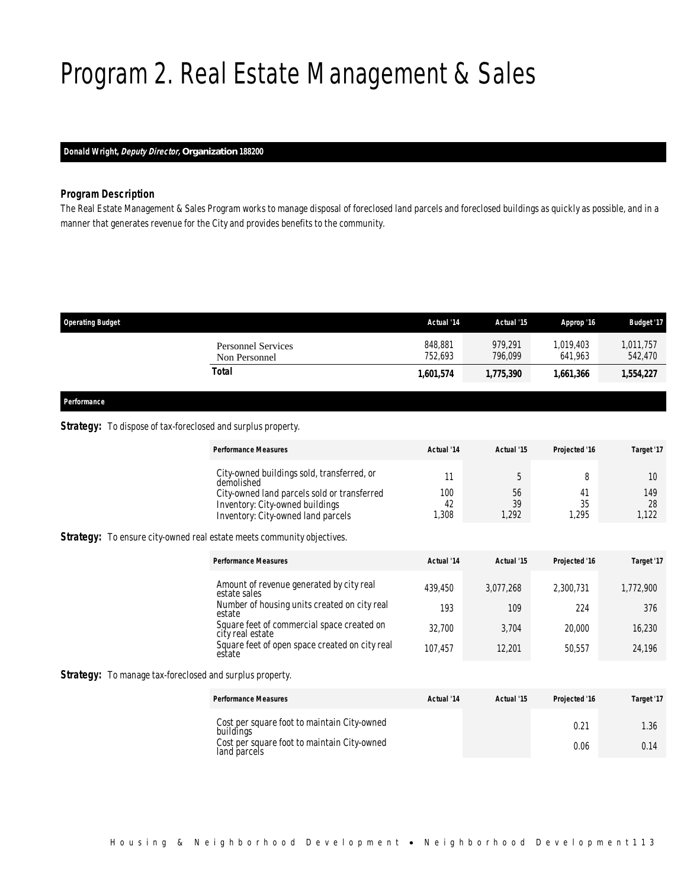# Program 2. Real Estate Management & Sales

## *Donald Wright, Deputy Director, Organization 188200*

## *Program Description*

The Real Estate Management & Sales Program works to manage disposal of foreclosed land parcels and foreclosed buildings as quickly as possible, and in a manner that generates revenue for the City and provides benefits to the community.

| <b>Operating Budget</b>                    | Actual '14         | Actual '15         | Approp '16           | <b>Budget '17</b>    |
|--------------------------------------------|--------------------|--------------------|----------------------|----------------------|
| <b>Personnel Services</b><br>Non Personnel | 848,881<br>752.693 | 979.291<br>796.099 | 1,019,403<br>641.963 | 1,011,757<br>542,470 |
| Total                                      | 1,601,574          | 1,775,390          | 1.661.366            | 1,554,227            |

*Performance* 

## Strategy: To dispose of tax-foreclosed and surplus property.

| <b>Performance Measures</b> | Actual '14                                         | Actual '15 | Projected '16 | Target '17 |
|-----------------------------|----------------------------------------------------|------------|---------------|------------|
| demolished                  | City-owned buildings sold, transferred, or         |            |               | 10         |
|                             | 100<br>City-owned land parcels sold or transferred | 56         | Г.            | 149        |
|                             | 42<br>Inventory: City-owned buildings              | 39         | 35            | 28         |
|                             | .308<br>Inventory: City-owned land parcels         | .292       | .295          |            |

**Strategy:** To ensure city-owned real estate meets community objectives.

| <b>Performance Measures</b>                                    | Actual '14 | Actual '15 | Projected '16 | Target '17 |
|----------------------------------------------------------------|------------|------------|---------------|------------|
| Amount of revenue generated by city real<br>estate sales       | 439.450    | 3.077.268  | 2.300.731     | 1,772,900  |
| Number of housing units created on city real<br>estate         | 193        | 109        | 224           | 376        |
| Square feet of commercial space created on<br>city real estate | 32.700     | 3.704      | 20,000        | 16,230     |
| Square feet of open space created on city real<br>estate       | 107.457    | 12.201     | 50.557        | 24.196     |

**Strategy:** To manage tax-foreclosed and surplus property.

| <b>Performance Measures</b>                                 | Actual '14 | Actual '15 | Projected '16 | Target '17 |
|-------------------------------------------------------------|------------|------------|---------------|------------|
| Cost per square foot to maintain City-owned<br>buildings    |            |            | $0.2^{\circ}$ | 1.36       |
| Cost per square foot to maintain City-owned<br>land parcels |            |            | 0.06          | 0.14       |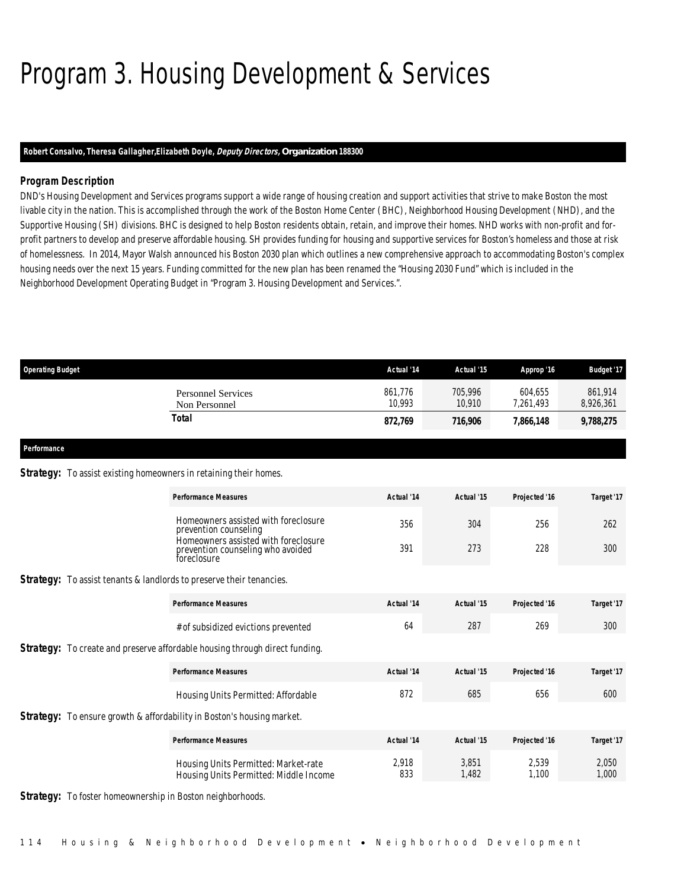# Program 3. Housing Development & Services

## *Robert Consalvo, Theresa Gallagher,Elizabeth Doyle, Deputy Directors, Organization 188300*

## *Program Description*

DND's Housing Development and Services programs support a wide range of housing creation and support activities that strive to make Boston the most livable city in the nation. This is accomplished through the work of the Boston Home Center (BHC), Neighborhood Housing Development (NHD), and the Supportive Housing (SH) divisions. BHC is designed to help Boston residents obtain, retain, and improve their homes. NHD works with non-profit and forprofit partners to develop and preserve affordable housing. SH provides funding for housing and supportive services for Boston's homeless and those at risk of homelessness. In 2014, Mayor Walsh announced his Boston 2030 plan which outlines a new comprehensive approach to accommodating Boston's complex housing needs over the next 15 years. Funding committed for the new plan has been renamed the "Housing 2030 Fund" which is included in the Neighborhood Development Operating Budget in "Program 3. Housing Development and Services.".

| <b>Operating Budget</b>                                                     |                                                                                    | Actual '14        | Actual '15        | Approp '16           | <b>Budget '17</b>    |
|-----------------------------------------------------------------------------|------------------------------------------------------------------------------------|-------------------|-------------------|----------------------|----------------------|
|                                                                             | <b>Personnel Services</b><br>Non Personnel                                         | 861,776<br>10.993 | 705,996<br>10,910 | 604,655<br>7,261,493 | 861,914<br>8,926,361 |
|                                                                             | <b>Total</b>                                                                       | 872,769           | 716,906           | 7,866,148            | 9,788,275            |
| Performance                                                                 |                                                                                    |                   |                   |                      |                      |
| <b>Strategy:</b> To assist existing homeowners in retaining their homes.    |                                                                                    |                   |                   |                      |                      |
|                                                                             | <b>Performance Measures</b>                                                        | Actual '14        | Actual '15        | Projected '16        | Target '17           |
|                                                                             | Homeowners assisted with foreclosure<br>prevention counseling                      | 356               | 304               | 256                  | 262                  |
|                                                                             | Homeowners assisted with foreclosure<br>prevention counseling who avoided          | 391               | 273               | 228                  | 300                  |
| <b>Strategy:</b> To assist tenants & landlords to preserve their tenancies. |                                                                                    |                   |                   |                      |                      |
|                                                                             | <b>Performance Measures</b>                                                        | Actual '14        | Actual '15        | Projected '16        | Target '17           |
|                                                                             | # of subsidized evictions prevented                                                | 64                | 287               | 269                  | 300                  |
|                                                                             | <b>Strategy:</b> To create and preserve affordable housing through direct funding. |                   |                   |                      |                      |
|                                                                             | <b>Performance Measures</b>                                                        | Actual '14        | Actual '15        | Projected '16        | Target '17           |
|                                                                             | Housing Units Permitted: Affordable                                                | 872               | 685               | 656                  | 600                  |
|                                                                             | <b>Strategy:</b> To ensure growth & affordability in Boston's housing market.      |                   |                   |                      |                      |
|                                                                             | <b>Performance Measures</b>                                                        | Actual '14        | Actual '15        | Projected '16        | Target '17           |
|                                                                             | Housing Units Permitted: Market-rate<br>Housing Units Permitted: Middle Income     | 2,918<br>833      | 3.851<br>1,482    | 2,539<br>1,100       | 2,050<br>1,000       |

**Strategy:** To foster homeownership in Boston neighborhoods.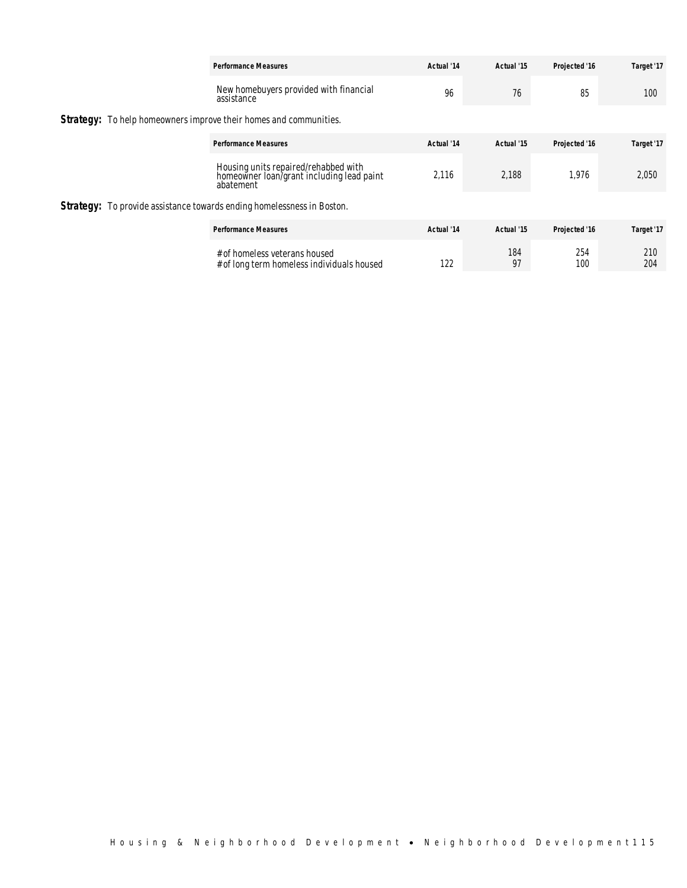|  |                                                                                                | <b>Performance Measures</b>                                                   | Actual '14 | Actual '15 | Projected '16 | Target '17 |
|--|------------------------------------------------------------------------------------------------|-------------------------------------------------------------------------------|------------|------------|---------------|------------|
|  |                                                                                                | New homebuyers provided with financial<br>assistance                          | 96         | 76         | 85            | 100        |
|  |                                                                                                | <b>Strategy:</b> To help homeowners improve their homes and communities.      |            |            |               |            |
|  |                                                                                                | <b>Performance Measures</b>                                                   | Actual '14 | Actual '15 | Projected '16 | Target '17 |
|  | Housing units repaired/rehabbed with<br>homeowner loan/grant including lead paint<br>abatement | 2.116                                                                         | 2.188      | 1.976      | 2,050         |            |
|  |                                                                                                | <b>Strategy:</b> To provide assistance towards ending homelessness in Boston. |            |            |               |            |
|  |                                                                                                | <b>Performance Measures</b>                                                   | Actual '14 | Actual '15 | Projected '16 | Target '17 |
|  |                                                                                                | # of homeless veterans housed<br># of long term homeless individuals housed   | 122        | 184<br>97  | 254<br>100    | 210<br>204 |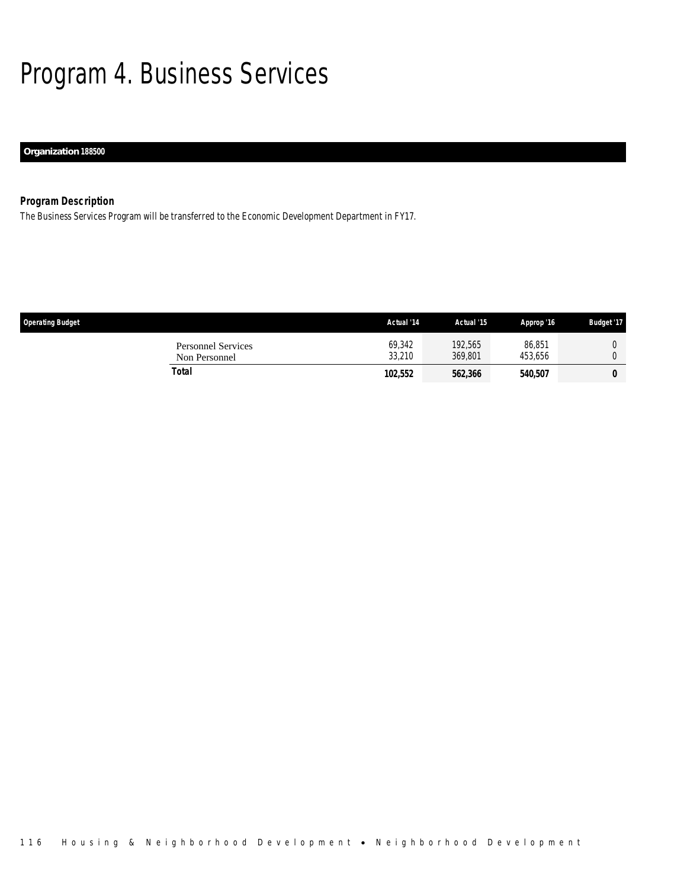# Program 4. Business Services

## *Organization 188500*

## *Program Description*

The Business Services Program will be transferred to the Economic Development Department in FY17.

| <b>Operating Budget</b>                    | Actual '14       | Actual '15         | Approp '16            | <b>Budget '17</b> |
|--------------------------------------------|------------------|--------------------|-----------------------|-------------------|
| <b>Personnel Services</b><br>Non Personnel | 69.342<br>33.210 | 192,565<br>369,801 | 86,851<br>453.656     |                   |
| Total                                      | 102,552          | 562,366            | <i><b>540,507</b></i> | 0                 |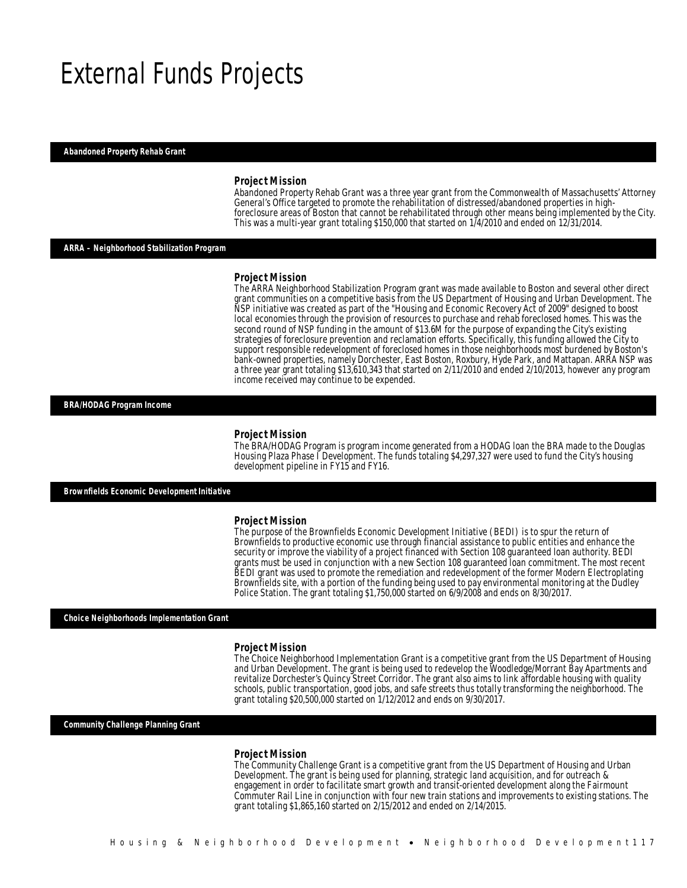## External Funds Projects

### *Abandoned Property Rehab Grant*

#### *Project Mission*

Abandoned Property Rehab Grant was a three year grant from the Commonwealth of Massachusetts' Attorney General's Office targeted to promote the rehabilitation of distressed/abandoned properties in highforeclosure areas of Boston that cannot be rehabilitated through other means being implemented by the City. This was a multi-year grant totaling \$150,000 that started on 1/4/2010 and ended on 12/31/2014.

*ARRA – Neighborhood Stabilization Program* 

#### *Project Mission*

The ARRA Neighborhood Stabilization Program grant was made available to Boston and several other direct grant communities on a competitive basis from the US Department of Housing and Urban Development. The NSP initiative was created as part of the "Housing and Economic Recovery Act of 2009" designed to boost local economies through the provision of resources to purchase and rehab foreclosed homes. This was the second round of NSP funding in the amount of \$13.6M for the purpose of expanding the City's existing strategies of foreclosure prevention and reclamation efforts. Specifically, this funding allowed the City to support responsible redevelopment of foreclosed homes in those neighborhoods most burdened by Boston's bank-owned properties, namely Dorchester, East Boston, Roxbury, Hyde Park, and Mattapan. ARRA NSP was a three year grant totaling \$13,610,343 that started on 2/11/2010 and ended 2/10/2013, however any program income received may continue to be expended.

### *BRA/HODAG Program Income*

#### *Project Mission*

The BRA/HODAG Program is program income generated from a HODAG loan the BRA made to the Douglas Housing Plaza Phase I Development. The funds totaling \$4,297,327 were used to fund the City's housing development pipeline in FY15 and FY16.

*Brownfields Economic Development Initiative* 

#### *Project Mission*

The purpose of the Brownfields Economic Development Initiative (BEDI) is to spur the return of Brownfields to productive economic use through financial assistance to public entities and enhance the security or improve the viability of a project financed with Section 108 guaranteed loan authority. BEDI grants must be used in conjunction with a new Section 108 guaranteed loan commitment. The most recent BEDI grant was used to promote the remediation and redevelopment of the former Modern Electroplating Brownfields site, with a portion of the funding being used to pay environmental monitoring at the Dudley Police Station. The grant totaling \$1,750,000 started on 6/9/2008 and ends on 8/30/2017.

#### *Choice Neighborhoods Implementation Grant*

#### *Project Mission*

The Choice Neighborhood Implementation Grant is a competitive grant from the US Department of Housing and Urban Development. The grant is being used to redevelop the Woodledge/Morrant Bay Apartments and revitalize Dorchester's Quincy Street Corridor. The grant also aims to link affordable housing with quality schools, public transportation, good jobs, and safe streets thus totally transforming the neighborhood. The grant totaling \$20,500,000 started on 1/12/2012 and ends on 9/30/2017.

*Community Challenge Planning Grant* 

#### *Project Mission*

Ì

The Community Challenge Grant is a competitive grant from the US Department of Housing and Urban Development. The grant is being used for planning, strategic land acquisition, and for outreach & engagement in order to facilitate smart growth and transit-oriented development along the Fairmount Commuter Rail Line in conjunction with four new train stations and improvements to existing stations. The grant totaling \$1,865,160 started on 2/15/2012 and ended on 2/14/2015.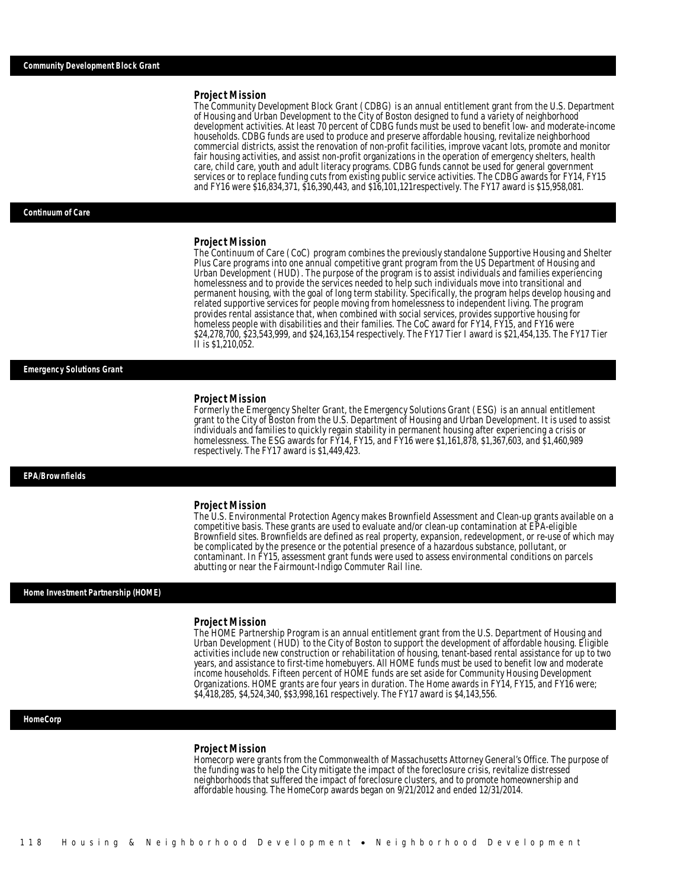#### *Project Mission*

The Community Development Block Grant (CDBG) is an annual entitlement grant from the U.S. Department of Housing and Urban Development to the City of Boston designed to fund a variety of neighborhood development activities. At least 70 percent of CDBG funds must be used to benefit low- and moderate-income households. CDBG funds are used to produce and preserve affordable housing, revitalize neighborhood commercial districts, assist the renovation of non-profit facilities, improve vacant lots, promote and monitor fair housing activities, and assist non-profit organizations in the operation of emergency shelters, health care, child care, youth and adult literacy programs. CDBG funds cannot be used for general government services or to replace funding cuts from existing public service activities. The CDBG awards for FY14, FY15 and FY16 were \$16,834,371, \$16,390,443, and \$16,101,121respectively. The FY17 award is \$15,958,081.

#### *Continuum of Care*

#### *Project Mission*

The Continuum of Care (CoC) program combines the previously standalone Supportive Housing and Shelter Plus Care programs into one annual competitive grant program from the US Department of Housing and Urban Development (HUD). The purpose of the program is to assist individuals and families experiencing homelessness and to provide the services needed to help such individuals move into transitional and permanent housing, with the goal of long term stability. Specifically, the program helps develop housing and related supportive services for people moving from homelessness to independent living. The program provides rental assistance that, when combined with social services, provides supportive housing for homeless people with disabilities and their families. The CoC award for FY14, FY15, and FY16 were \$24,278,700, \$23,543,999, and \$24,163,154 respectively. The FY17 Tier I award is \$21,454,135. The FY17 Tier II is \$1,210,052.

### *Emergency Solutions Grant*

#### *Project Mission*

Formerly the Emergency Shelter Grant, the Emergency Solutions Grant (ESG) is an annual entitlement grant to the City of Boston from the U.S. Department of Housing and Urban Development. It is used to assist individuals and families to quickly regain stability in permanent housing after experiencing a crisis or homelessness. The ESG awards for FY14, FY15, and FY16 were \$1,161,878, \$1,367,603, and \$1,460,989 respectively. The FY17 award is \$1,449,423.

#### *EPA/Brownfields*

### *Project Mission*

The U.S. Environmental Protection Agency makes Brownfield Assessment and Clean-up grants available on a competitive basis. These grants are used to evaluate and/or clean-up contamination at EPA-eligible Brownfield sites. Brownfields are defined as real property, expansion, redevelopment, or re-use of which may be complicated by the presence or the potential presence of a hazardous substance, pollutant, or contaminant. In FY15, assessment grant funds were used to assess environmental conditions on parcels abutting or near the Fairmount-Indigo Commuter Rail line.

### *Home Investment Partnership (HOME)*

#### *Project Mission*

The HOME Partnership Program is an annual entitlement grant from the U.S. Department of Housing and Urban Development (HUD) to the City of Boston to support the development of affordable housing. Eligible activities include new construction or rehabilitation of housing, tenant-based rental assistance for up to two years, and assistance to first-time homebuyers. All HOME funds must be used to benefit low and moderate income households. Fifteen percent of HOME funds are set aside for Community Housing Development Organizations. HOME grants are four years in duration. The Home awards in FY14, FY15, and FY16 were; \$4,418,285, \$4,524,340, \$\$3,998,161 respectively. The FY17 award is \$4,143,556.

#### *HomeCorp*

#### *Project Mission*

Homecorp were grants from the Commonwealth of Massachusetts Attorney General's Office. The purpose of the funding was to help the City mitigate the impact of the foreclosure crisis, revitalize distressed neighborhoods that suffered the impact of foreclosure clusters, and to promote homeownership and affordable housing. The HomeCorp awards began on 9/21/2012 and ended 12/31/2014.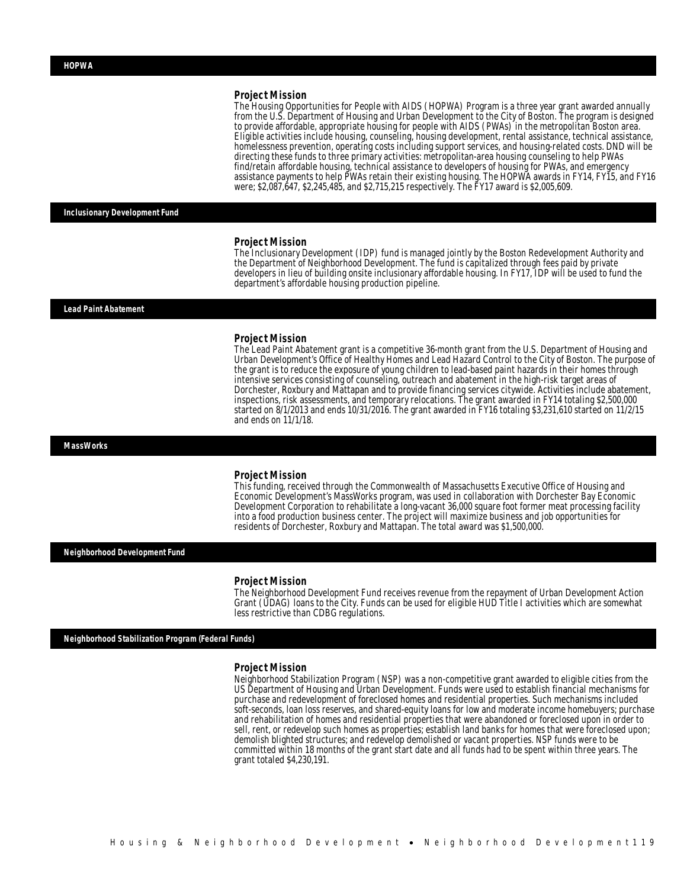#### *Project Mission*

The Housing Opportunities for People with AIDS (HOPWA) Program is a three year grant awarded annually from the U.S. Department of Housing and Urban Development to the City of Boston. The program is designed to provide affordable, appropriate housing for people with AIDS (PWAs) in the metropolitan Boston area. Eligible activities include housing, counseling, housing development, rental assistance, technical assistance, homelessness prevention, operating costs including support services, and housing-related costs. DND will be directing these funds to three primary activities: metropolitan-area housing counseling to help PWAs find/retain affordable housing, technical assistance to developers of housing for PWAs, and emergency assistance payments to help PWAs retain their existing housing. The HOPWA awards in FY14, FY15, and FY16 were; \$2,087,647, \$2,245,485, and \$2,715,215 respectively. The FY17 award is \$2,005,609.

*Inclusionary Development Fund* 

#### *Project Mission*

The Inclusionary Development (IDP) fund is managed jointly by the Boston Redevelopment Authority and the Department of Neighborhood Development. The fund is capitalized through fees paid by private developers in lieu of building onsite inclusionary affordable housing. In FY17, IDP will be used to fund the department's affordable housing production pipeline.

### *Lead Paint Abatement*

#### *Project Mission*

The Lead Paint Abatement grant is a competitive 36-month grant from the U.S. Department of Housing and Urban Development's Office of Healthy Homes and Lead Hazard Control to the City of Boston. The purpose of the grant is to reduce the exposure of young children to lead-based paint hazards in their homes through intensive services consisting of counseling, outreach and abatement in the high-risk target areas of Dorchester, Roxbury and Mattapan and to provide financing services citywide. Activities include abatement, inspections, risk assessments, and temporary relocations. The grant awarded in FY14 totaling \$2,500,000 started on 8/1/2013 and ends 10/31/2016. The grant awarded in FY16 totaling \$3,231,610 started on 11/2/15 and ends on 11/1/18.

*MassWorks* 

#### *Project Mission*

This funding, received through the Commonwealth of Massachusetts Executive Office of Housing and Economic Development's MassWorks program, was used in collaboration with Dorchester Bay Economic Development Corporation to rehabilitate a long-vacant 36,000 square foot former meat processing facility into a food production business center. The project will maximize business and job opportunities for residents of Dorchester, Roxbury and Mattapan. The total award was \$1,500,000.

*Neighborhood Development Fund* 

#### *Project Mission*

The Neighborhood Development Fund receives revenue from the repayment of Urban Development Action Grant (UDAG) loans to the City. Funds can be used for eligible HUD Title I activities which are somewhat less restrictive than CDBG regulations.

*Neighborhood Stabilization Program (Federal Funds)* 

#### *Project Mission*

Neighborhood Stabilization Program (NSP) was a non-competitive grant awarded to eligible cities from the US Department of Housing and Urban Development. Funds were used to establish financial mechanisms for purchase and redevelopment of foreclosed homes and residential properties. Such mechanisms included soft-seconds, loan loss reserves, and shared-equity loans for low and moderate income homebuyers; purchase and rehabilitation of homes and residential properties that were abandoned or foreclosed upon in order to sell, rent, or redevelop such homes as properties; establish land banks for homes that were foreclosed upon; demolish blighted structures; and redevelop demolished or vacant properties. NSP funds were to be committed within 18 months of the grant start date and all funds had to be spent within three years. The grant totaled \$4,230,191.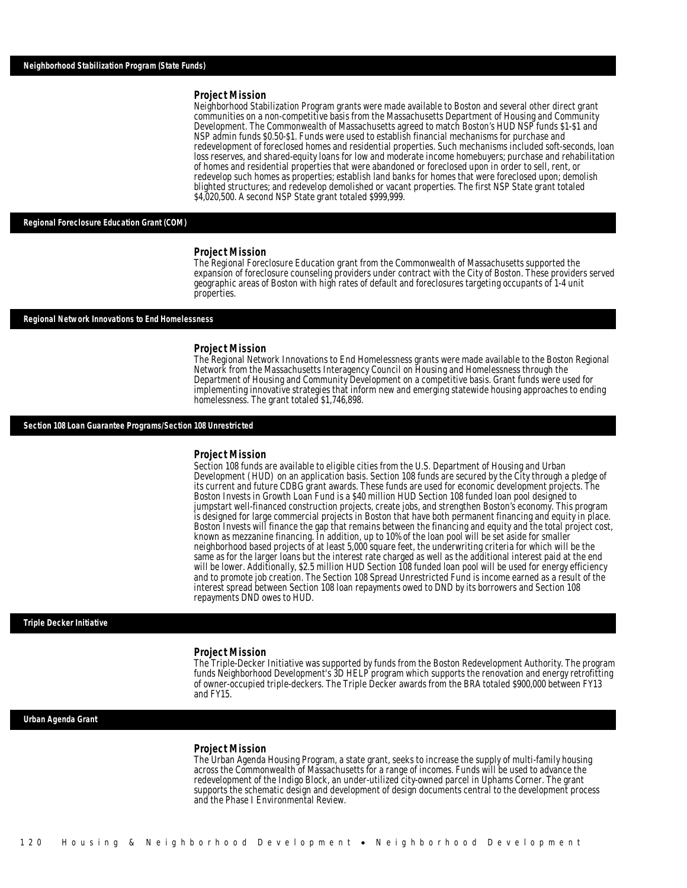#### *Project Mission*

Neighborhood Stabilization Program grants were made available to Boston and several other direct grant communities on a non-competitive basis from the Massachusetts Department of Housing and Community Development. The Commonwealth of Massachusetts agreed to match Boston's HUD NSP funds \$1-\$1 and NSP admin funds \$0.50-\$1. Funds were used to establish financial mechanisms for purchase and redevelopment of foreclosed homes and residential properties. Such mechanisms included soft-seconds, loan loss reserves, and shared-equity loans for low and moderate income homebuyers; purchase and rehabilitation of homes and residential properties that were abandoned or foreclosed upon in order to sell, rent, or redevelop such homes as properties; establish land banks for homes that were foreclosed upon; demolish blighted structures; and redevelop demolished or vacant properties. The first NSP State grant totaled \$4,020,500. A second NSP State grant totaled \$999,999.

### *Regional Foreclosure Education Grant (COM)*

#### *Project Mission*

The Regional Foreclosure Education grant from the Commonwealth of Massachusetts supported the expansion of foreclosure counseling providers under contract with the City of Boston. These providers served geographic areas of Boston with high rates of default and foreclosures targeting occupants of 1-4 unit properties.

#### *Regional Network Innovations to End Homelessness*

#### *Project Mission*

The Regional Network Innovations to End Homelessness grants were made available to the Boston Regional Network from the Massachusetts Interagency Council on Housing and Homelessness through the Department of Housing and Community Development on a competitive basis. Grant funds were used for implementing innovative strategies that inform new and emerging statewide housing approaches to ending homelessness. The grant totaled \$1,746,898.

#### *Section 108 Loan Guarantee Programs/Section 108 Unrestricted*

#### *Project Mission*

Section 108 funds are available to eligible cities from the U.S. Department of Housing and Urban Development (HUD) on an application basis. Section 108 funds are secured by the City through a pledge of its current and future CDBG grant awards. These funds are used for economic development projects. The Boston Invests in Growth Loan Fund is a \$40 million HUD Section 108 funded loan pool designed to jumpstart well-financed construction projects, create jobs, and strengthen Boston's economy. This program is designed for large commercial projects in Boston that have both permanent financing and equity in place. Boston Invests will finance the gap that remains between the financing and equity and the total project cost, known as mezzanine financing. In addition, up to 10% of the loan pool will be set aside for smaller neighborhood based projects of at least 5,000 square feet, the underwriting criteria for which will be the same as for the larger loans but the interest rate charged as well as the additional interest paid at the end will be lower. Additionally, \$2.5 million HUD Section 108 funded loan pool will be used for energy efficiency and to promote job creation. The Section 108 Spread Unrestricted Fund is income earned as a result of the interest spread between Section 108 loan repayments owed to DND by its borrowers and Section 108 repayments DND owes to HUD.

### *Triple Decker Initiative*

#### *Project Mission*

The Triple-Decker Initiative was supported by funds from the Boston Redevelopment Authority. The program funds Neighborhood Development's 3D HELP program which supports the renovation and energy retrofitting of owner-occupied triple-deckers. The Triple Decker awards from the BRA totaled \$900,000 between FY13 and FY15.

#### *Urban Agenda Grant*

#### *Project Mission*

The Urban Agenda Housing Program, a state grant, seeks to increase the supply of multi-family housing across the Commonwealth of Massachusetts for a range of incomes. Funds will be used to advance the redevelopment of the Indigo Block, an under-utilized city-owned parcel in Uphams Corner. The grant supports the schematic design and development of design documents central to the development process and the Phase I Environmental Review.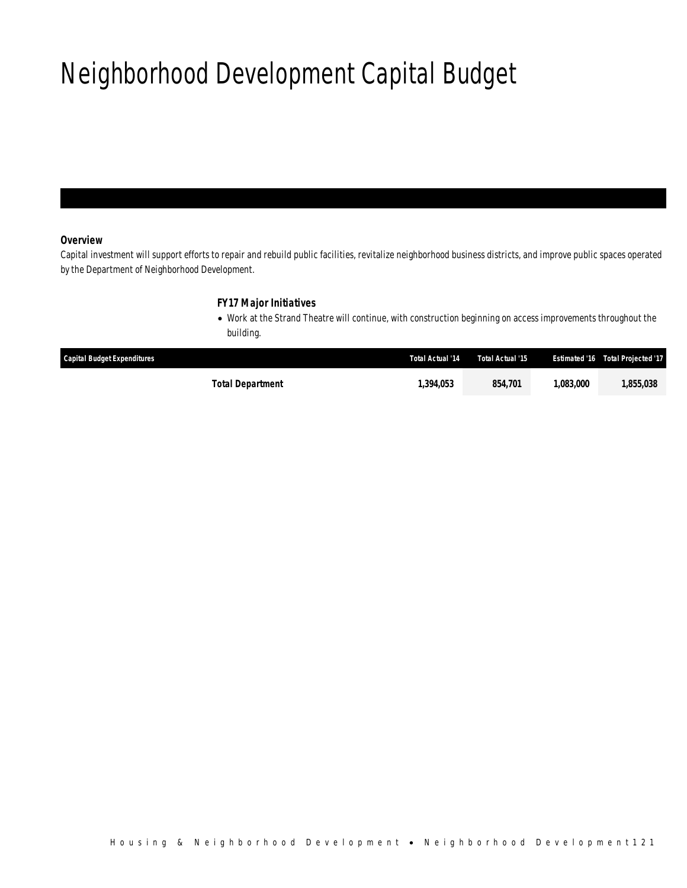# Neighborhood Development Capital Budget

## *Overview*

Capital investment will support efforts to repair and rebuild public facilities, revitalize neighborhood business districts, and improve public spaces operated by the Department of Neighborhood Development.

## *FY17 Major Initiatives*

• Work at the Strand Theatre will continue, with construction beginning on access improvements throughout the building.

| <b>Capital Budget Expenditures</b> | Total Actual '14 | Total Actual '15 | <b>Estimated '16</b> | Total Projected '17 |
|------------------------------------|------------------|------------------|----------------------|---------------------|
| Total Department                   | 1,394,053        | 854.701          | .083.000             | ,855,038            |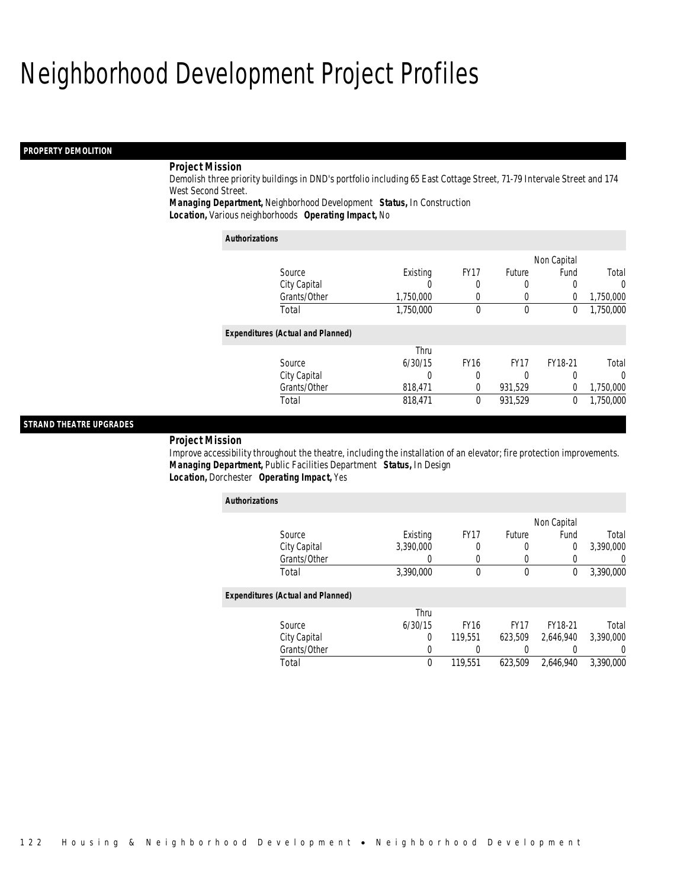# Neighborhood Development Project Profiles

## *PROPERTY DEMOLITION*

## *Project Mission*

Demolish three priority buildings in DND's portfolio including 65 East Cottage Street, 71-79 Intervale Street and 174 West Second Street.

*Managing Department,* Neighborhood Development *Status,* In Construction

*Location,* Various neighborhoods *Operating Impact,* No

| <b>Authorizations</b>                    |           |             |                  |                |           |
|------------------------------------------|-----------|-------------|------------------|----------------|-----------|
|                                          |           |             |                  | Non Capital    |           |
| Source                                   | Existing  | <b>FY17</b> | <b>Future</b>    | Fund           | Total     |
| City Capital                             | O         | 0           | $\Omega$         | 0              | $\Omega$  |
| Grants/Other                             | 1,750,000 | 0           |                  | $\overline{0}$ | 1,750,000 |
| Total                                    | 1,750,000 | 0           | $\mathbf{0}$     | 0              | 1,750,000 |
| <b>Expenditures (Actual and Planned)</b> |           |             |                  |                |           |
|                                          | Thru      |             |                  |                |           |
| Source                                   | 6/30/15   | <b>FY16</b> | FY <sub>17</sub> | FY18-21        | Total     |
| City Capital                             | 0         | 0           | 0                |                | 0         |
| Grants/Other                             | 818,471   | 0           | 931.529          | $\theta$       | 1,750,000 |
| Total                                    | 818,471   | 0           | 931,529          | 0              | 1.750.000 |

## *STRAND THEATRE UPGRADES*

### *Project Mission*

Improve accessibility throughout the theatre, including the installation of an elevator; fire protection improvements. *Managing Department,* Public Facilities Department *Status,* In Design*Location,* Dorchester *Operating Impact,* Yes

| <b>Authorizations</b>                    |           |             |                  |             |           |
|------------------------------------------|-----------|-------------|------------------|-------------|-----------|
|                                          |           |             |                  | Non Capital |           |
| Source                                   | Existing  | <b>FY17</b> | <b>Future</b>    | Fund        | Total     |
| City Capital                             | 3.390.000 | 0           | 0                | $\Omega$    | 3,390,000 |
| Grants/Other                             |           | 0           | $\left( \right)$ |             | $\Omega$  |
| Total                                    | 3,390,000 | $\theta$    | $\mathbf 0$      | 0           | 3,390,000 |
| <b>Expenditures (Actual and Planned)</b> |           |             |                  |             |           |
|                                          | Thru      |             |                  |             |           |
| Source                                   | 6/30/15   | <b>FY16</b> | <b>FY17</b>      | FY18-21     | Total     |
| City Capital                             | 0         | 119.551     | 623.509          | 2,646,940   | 3.390.000 |
| Grants/Other                             | 0         |             |                  |             | $\Omega$  |
| Total                                    | 0         | 119.551     | 623.509          | 2.646.940   | 3,390,000 |